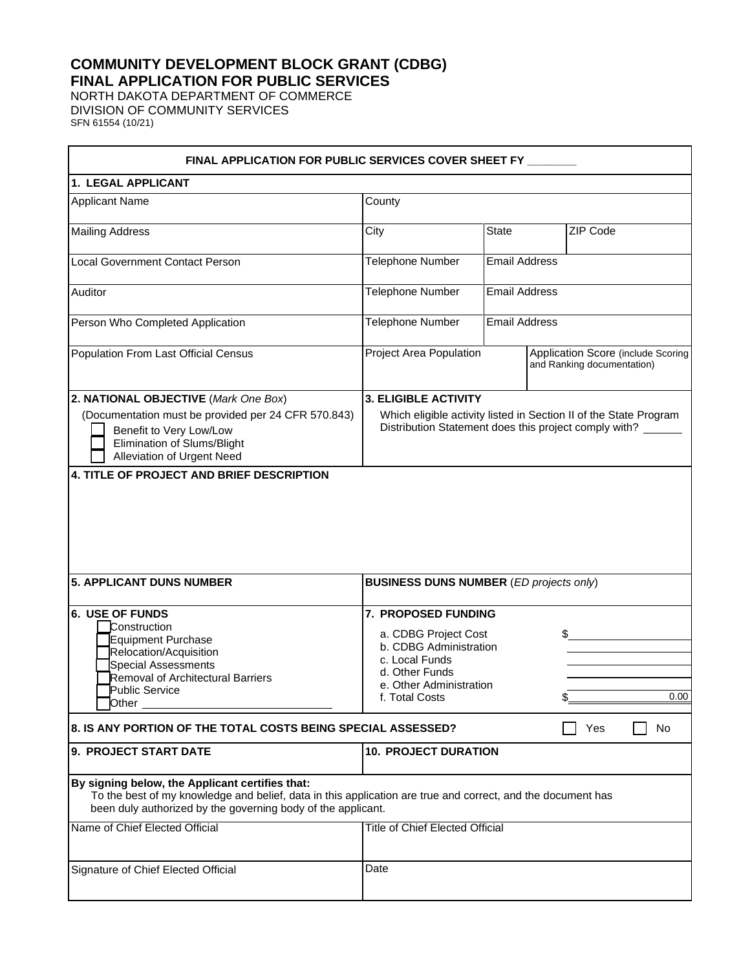# **COMMUNITY DEVELOPMENT BLOCK GRANT (CDBG) FINAL APPLICATION FOR PUBLIC SERVICES**

NORTH DAKOTA DEPARTMENT OF COMMERCE DIVISION OF COMMUNITY SERVICES SFN 61554 (10/21)

 $\blacksquare$ 

| FINAL APPLICATION FOR PUBLIC SERVICES COVER SHEET FY                                                                                                                                                                             |                                                                                                                                                           |                      |                                                                  |      |
|----------------------------------------------------------------------------------------------------------------------------------------------------------------------------------------------------------------------------------|-----------------------------------------------------------------------------------------------------------------------------------------------------------|----------------------|------------------------------------------------------------------|------|
| 1. LEGAL APPLICANT                                                                                                                                                                                                               |                                                                                                                                                           |                      |                                                                  |      |
| <b>Applicant Name</b>                                                                                                                                                                                                            | County                                                                                                                                                    |                      |                                                                  |      |
| <b>Mailing Address</b>                                                                                                                                                                                                           | City                                                                                                                                                      | <b>State</b>         | ZIP Code                                                         |      |
| <b>Local Government Contact Person</b>                                                                                                                                                                                           | Telephone Number                                                                                                                                          | <b>Email Address</b> |                                                                  |      |
| Auditor                                                                                                                                                                                                                          | <b>Telephone Number</b>                                                                                                                                   | <b>Email Address</b> |                                                                  |      |
| Person Who Completed Application                                                                                                                                                                                                 | <b>Telephone Number</b>                                                                                                                                   | <b>Email Address</b> |                                                                  |      |
| Population From Last Official Census                                                                                                                                                                                             | Project Area Population                                                                                                                                   |                      | Application Score (include Scoring<br>and Ranking documentation) |      |
| 2. NATIONAL OBJECTIVE (Mark One Box)<br>(Documentation must be provided per 24 CFR 570.843)<br>Benefit to Very Low/Low<br>Elimination of Slums/Blight<br>Alleviation of Urgent Need<br>4. TITLE OF PROJECT AND BRIEF DESCRIPTION | <b>3. ELIGIBLE ACTIVITY</b><br>Which eligible activity listed in Section II of the State Program<br>Distribution Statement does this project comply with? |                      |                                                                  |      |
| <b>5. APPLICANT DUNS NUMBER</b>                                                                                                                                                                                                  | <b>BUSINESS DUNS NUMBER (ED projects only)</b>                                                                                                            |                      |                                                                  |      |
| 6. USE OF FUNDS<br>Construction<br>Equipment Purchase<br>Relocation/Acquisition<br><b>Special Assessments</b><br><b>Removal of Architectural Barriers</b><br>Public Service<br><b>Other</b>                                      | 7. PROPOSED FUNDING<br>a. CDBG Project Cost<br>b. CDBG Administration<br>c. Local Funds<br>d. Other Funds<br>e. Other Administration<br>f. Total Costs    |                      | \$                                                               | 0.00 |
| 8. IS ANY PORTION OF THE TOTAL COSTS BEING SPECIAL ASSESSED?                                                                                                                                                                     |                                                                                                                                                           |                      | Yes                                                              | No.  |
| 9. PROJECT START DATE                                                                                                                                                                                                            | <b>10. PROJECT DURATION</b>                                                                                                                               |                      |                                                                  |      |
| By signing below, the Applicant certifies that:<br>To the best of my knowledge and belief, data in this application are true and correct, and the document has<br>been duly authorized by the governing body of the applicant.   |                                                                                                                                                           |                      |                                                                  |      |
| Name of Chief Elected Official                                                                                                                                                                                                   | <b>Title of Chief Elected Official</b>                                                                                                                    |                      |                                                                  |      |
| Signature of Chief Elected Official                                                                                                                                                                                              | Date                                                                                                                                                      |                      |                                                                  |      |

h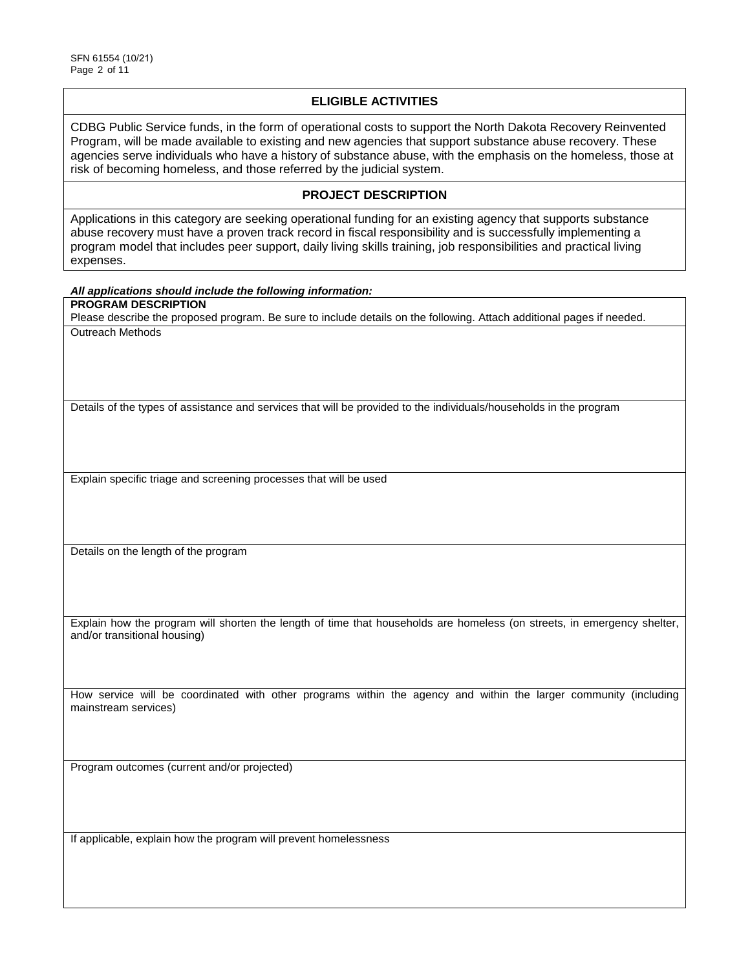## **ELIGIBLE ACTIVITIES**

CDBG Public Service funds, in the form of operational costs to support the North Dakota Recovery Reinvented Program, will be made available to existing and new agencies that support substance abuse recovery. These agencies serve individuals who have a history of substance abuse, with the emphasis on the homeless, those at risk of becoming homeless, and those referred by the judicial system.

### **PROJECT DESCRIPTION**

Applications in this category are seeking operational funding for an existing agency that supports substance abuse recovery must have a proven track record in fiscal responsibility and is successfully implementing a program model that includes peer support, daily living skills training, job responsibilities and practical living expenses.

#### *All applications should include the following information:*

**PROGRAM DESCRIPTION**

Please describe the proposed program. Be sure to include details on the following. Attach additional pages if needed. Outreach Methods

Details of the types of assistance and services that will be provided to the individuals/households in the program

Explain specific triage and screening processes that will be used

Details on the length of the program

Explain how the program will shorten the length of time that households are homeless (on streets, in emergency shelter, and/or transitional housing)

How service will be coordinated with other programs within the agency and within the larger community (including mainstream services)

Program outcomes (current and/or projected)

If applicable, explain how the program will prevent homelessness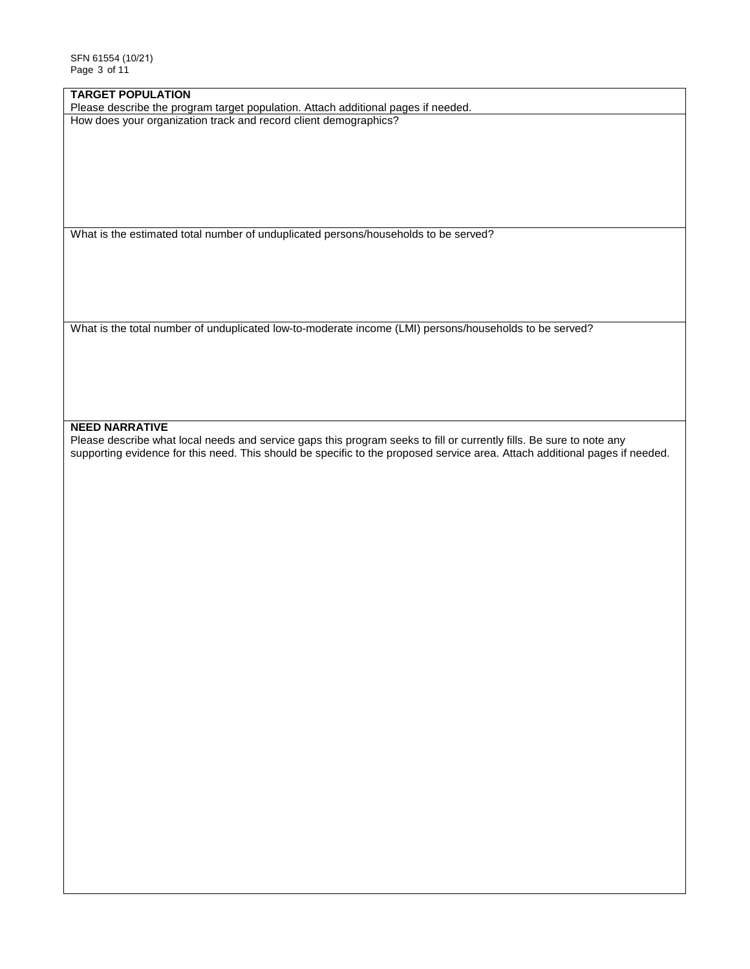## **TARGET POPULATION**

Please describe the program target population. Attach additional pages if needed. How does your organization track and record client demographics?

What is the estimated total number of unduplicated persons/households to be served?

What is the total number of unduplicated low-to-moderate income (LMI) persons/households to be served?

### **NEED NARRATIVE**

Please describe what local needs and service gaps this program seeks to fill or currently fills. Be sure to note any supporting evidence for this need. This should be specific to the proposed service area. Attach additional pages if needed.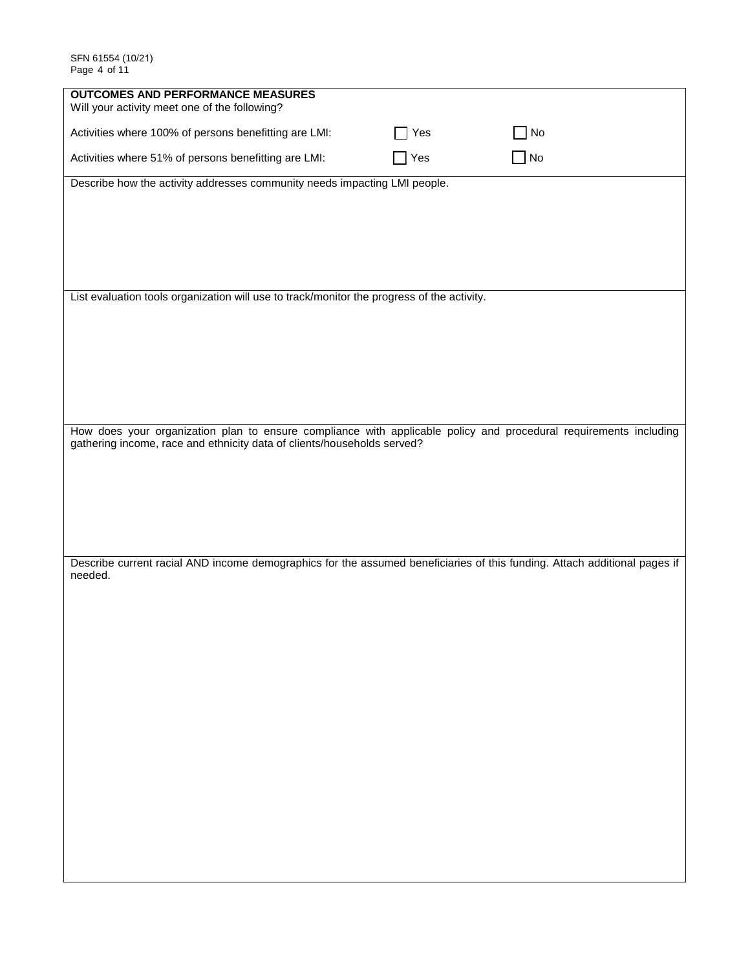| <b>OUTCOMES AND PERFORMANCE MEASURES</b><br>Will your activity meet one of the following?                                                                                                    |     |             |  |
|----------------------------------------------------------------------------------------------------------------------------------------------------------------------------------------------|-----|-------------|--|
| Activities where 100% of persons benefitting are LMI:                                                                                                                                        | Yes | $\sqcap$ No |  |
| Activities where 51% of persons benefitting are LMI:                                                                                                                                         | Yes | $\Box$ No   |  |
| Describe how the activity addresses community needs impacting LMI people.                                                                                                                    |     |             |  |
|                                                                                                                                                                                              |     |             |  |
|                                                                                                                                                                                              |     |             |  |
|                                                                                                                                                                                              |     |             |  |
| List evaluation tools organization will use to track/monitor the progress of the activity.                                                                                                   |     |             |  |
|                                                                                                                                                                                              |     |             |  |
|                                                                                                                                                                                              |     |             |  |
|                                                                                                                                                                                              |     |             |  |
|                                                                                                                                                                                              |     |             |  |
| How does your organization plan to ensure compliance with applicable policy and procedural requirements including<br>gathering income, race and ethnicity data of clients/households served? |     |             |  |
|                                                                                                                                                                                              |     |             |  |
|                                                                                                                                                                                              |     |             |  |
|                                                                                                                                                                                              |     |             |  |
|                                                                                                                                                                                              |     |             |  |
| Describe current racial AND income demographics for the assumed beneficiaries of this funding. Attach additional pages if<br>needed.                                                         |     |             |  |
|                                                                                                                                                                                              |     |             |  |
|                                                                                                                                                                                              |     |             |  |
|                                                                                                                                                                                              |     |             |  |
|                                                                                                                                                                                              |     |             |  |
|                                                                                                                                                                                              |     |             |  |
|                                                                                                                                                                                              |     |             |  |
|                                                                                                                                                                                              |     |             |  |
|                                                                                                                                                                                              |     |             |  |
|                                                                                                                                                                                              |     |             |  |
|                                                                                                                                                                                              |     |             |  |
|                                                                                                                                                                                              |     |             |  |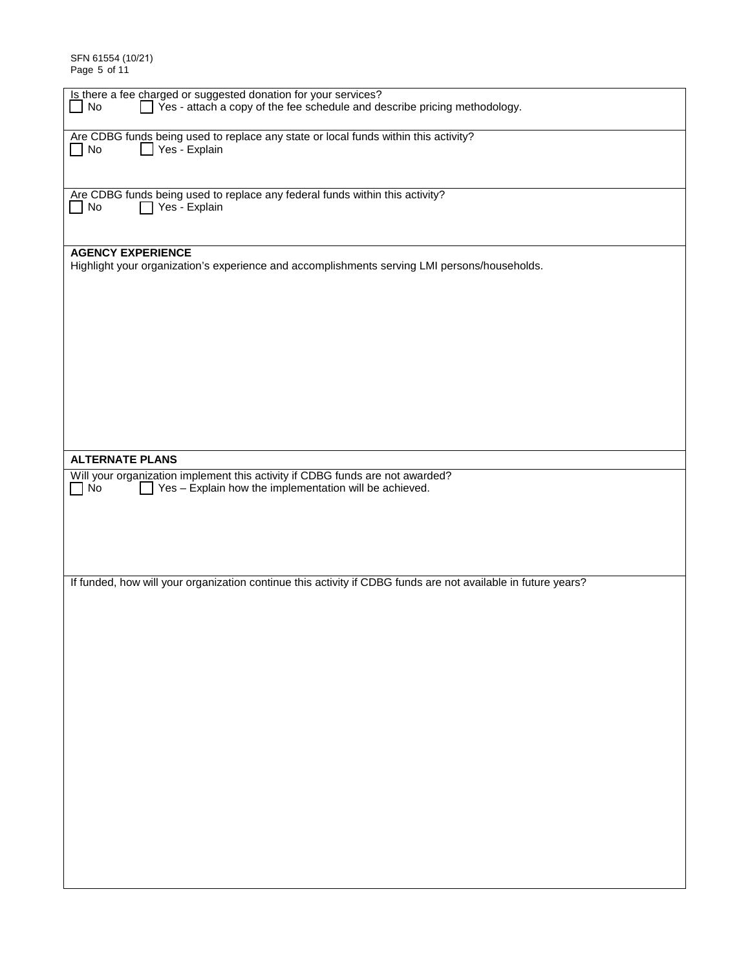SFN 61554 (10/21) Page 5 of 11

| Is there a fee charged or suggested donation for your services?                                                   |
|-------------------------------------------------------------------------------------------------------------------|
| Yes - attach a copy of the fee schedule and describe pricing methodology.<br>No                                   |
|                                                                                                                   |
|                                                                                                                   |
| Are CDBG funds being used to replace any state or local funds within this activity?<br>Yes - Explain<br>$\Box$ No |
|                                                                                                                   |
|                                                                                                                   |
|                                                                                                                   |
| Are CDBG funds being used to replace any federal funds within this activity?                                      |
| Yes - Explain<br>$\blacksquare$ No                                                                                |
|                                                                                                                   |
|                                                                                                                   |
| <b>AGENCY EXPERIENCE</b>                                                                                          |
| Highlight your organization's experience and accomplishments serving LMI persons/households.                      |
|                                                                                                                   |
|                                                                                                                   |
|                                                                                                                   |
|                                                                                                                   |
|                                                                                                                   |
|                                                                                                                   |
|                                                                                                                   |
|                                                                                                                   |
|                                                                                                                   |
|                                                                                                                   |
|                                                                                                                   |
|                                                                                                                   |
|                                                                                                                   |
|                                                                                                                   |
| <b>ALTERNATE PLANS</b>                                                                                            |
| Will your organization implement this activity if CDBG funds are not awarded?                                     |
| $\Box$ Yes - Explain how the implementation will be achieved.<br>$\Box$ No                                        |
|                                                                                                                   |
|                                                                                                                   |
|                                                                                                                   |
|                                                                                                                   |
|                                                                                                                   |
|                                                                                                                   |
|                                                                                                                   |
|                                                                                                                   |
| If funded, how will your organization continue this activity if CDBG funds are not available in future years?     |
|                                                                                                                   |
|                                                                                                                   |
|                                                                                                                   |
|                                                                                                                   |
|                                                                                                                   |
|                                                                                                                   |
|                                                                                                                   |
|                                                                                                                   |
|                                                                                                                   |
|                                                                                                                   |
|                                                                                                                   |
|                                                                                                                   |
|                                                                                                                   |
|                                                                                                                   |
|                                                                                                                   |
|                                                                                                                   |
|                                                                                                                   |
|                                                                                                                   |
|                                                                                                                   |
|                                                                                                                   |
|                                                                                                                   |
|                                                                                                                   |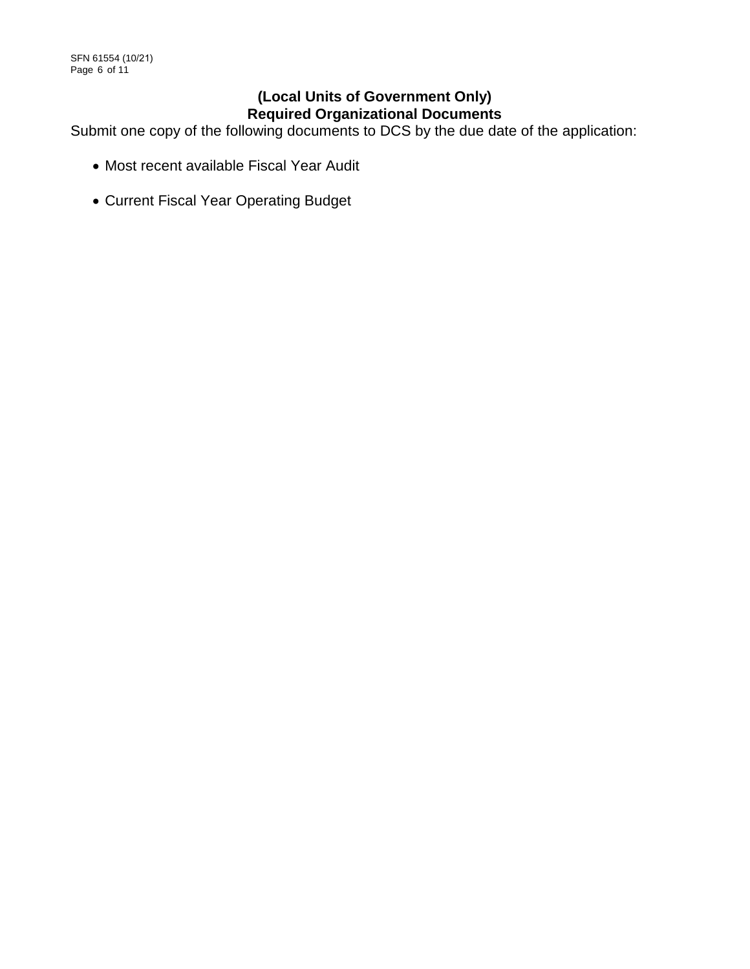# **(Local Units of Government Only) Required Organizational Documents**

Submit one copy of the following documents to DCS by the due date of the application:

- Most recent available Fiscal Year Audit
- Current Fiscal Year Operating Budget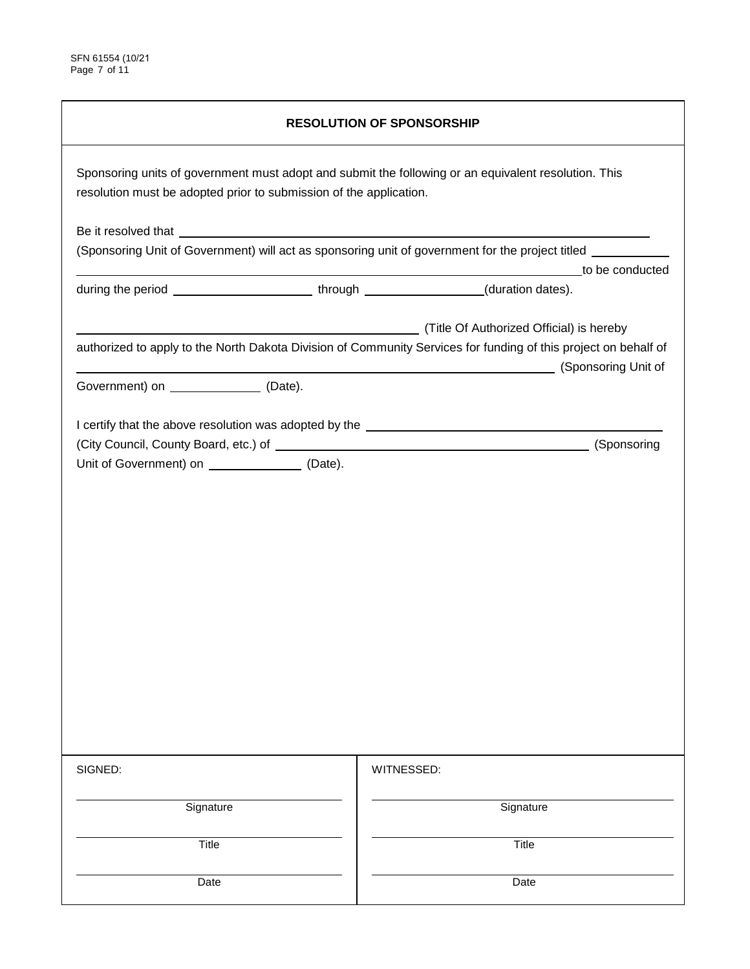| <b>RESOLUTION OF SPONSORSHIP</b>                                                                                                                                           |                                                                                                                                                                                           |  |  |  |
|----------------------------------------------------------------------------------------------------------------------------------------------------------------------------|-------------------------------------------------------------------------------------------------------------------------------------------------------------------------------------------|--|--|--|
| Sponsoring units of government must adopt and submit the following or an equivalent resolution. This<br>resolution must be adopted prior to submission of the application. |                                                                                                                                                                                           |  |  |  |
|                                                                                                                                                                            |                                                                                                                                                                                           |  |  |  |
|                                                                                                                                                                            | (Sponsoring Unit of Government) will act as sponsoring unit of government for the project titled ________                                                                                 |  |  |  |
| during the period __________________________through ________________(duration dates).                                                                                      | to be conducted                                                                                                                                                                           |  |  |  |
|                                                                                                                                                                            | Title Of Authorized Official) is hereby (Title Of Authorized Official)<br>authorized to apply to the North Dakota Division of Community Services for funding of this project on behalf of |  |  |  |
| Government) on ________________ (Date).                                                                                                                                    | (Sponsoring Unit of                                                                                                                                                                       |  |  |  |
| Unit of Government) on ____________________ (Date).                                                                                                                        | (Sponsoring                                                                                                                                                                               |  |  |  |
| SIGNED:                                                                                                                                                                    | WITNESSED:                                                                                                                                                                                |  |  |  |
| Signature                                                                                                                                                                  | Signature                                                                                                                                                                                 |  |  |  |
| Title                                                                                                                                                                      | Title                                                                                                                                                                                     |  |  |  |
| Date                                                                                                                                                                       | Date                                                                                                                                                                                      |  |  |  |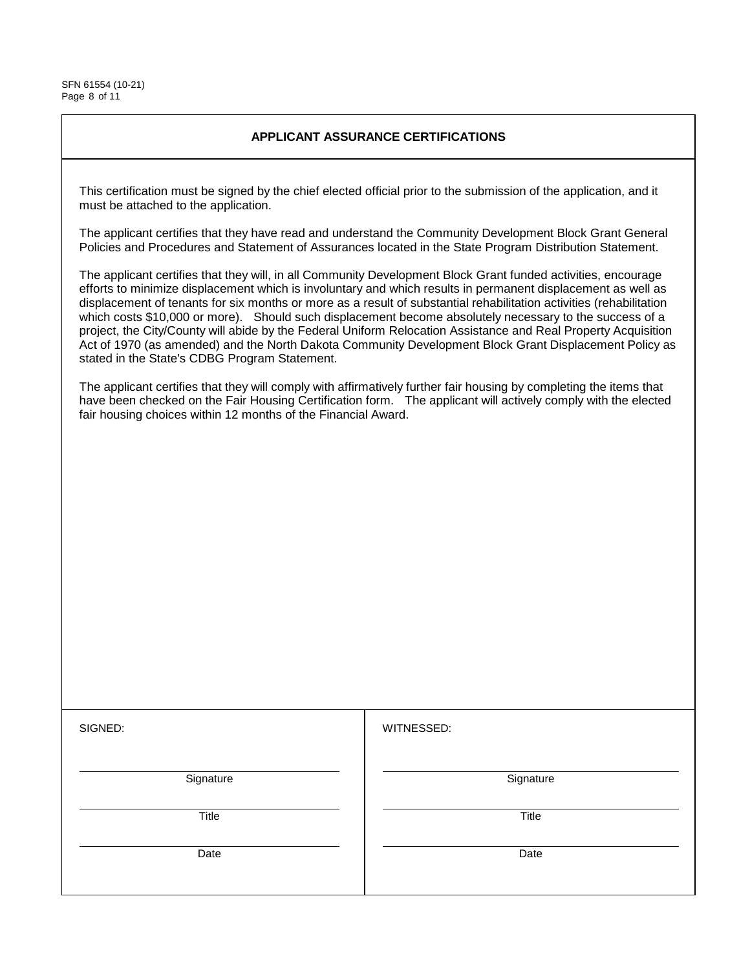SFN 61554 (10-21) Page 8 of 11

## **APPLICANT ASSURANCE CERTIFICATIONS**

This certification must be signed by the chief elected official prior to the submission of the application, and it must be attached to the application.

The applicant certifies that they have read and understand the Community Development Block Grant General Policies and Procedures and Statement of Assurances located in the State Program Distribution Statement.

The applicant certifies that they will, in all Community Development Block Grant funded activities, encourage efforts to minimize displacement which is involuntary and which results in permanent displacement as well as displacement of tenants for six months or more as a result of substantial rehabilitation activities (rehabilitation which costs \$10,000 or more). Should such displacement become absolutely necessary to the success of a project, the City/County will abide by the Federal Uniform Relocation Assistance and Real Property Acquisition Act of 1970 (as amended) and the North Dakota Community Development Block Grant Displacement Policy as stated in the State's CDBG Program Statement.

The applicant certifies that they will comply with affirmatively further fair housing by completing the items that have been checked on the Fair Housing Certification form. The applicant will actively comply with the elected fair housing choices within 12 months of the Financial Award.

WITNESSED:

**Signature** 

Title

Date

**Signature** 

**Title** 

Date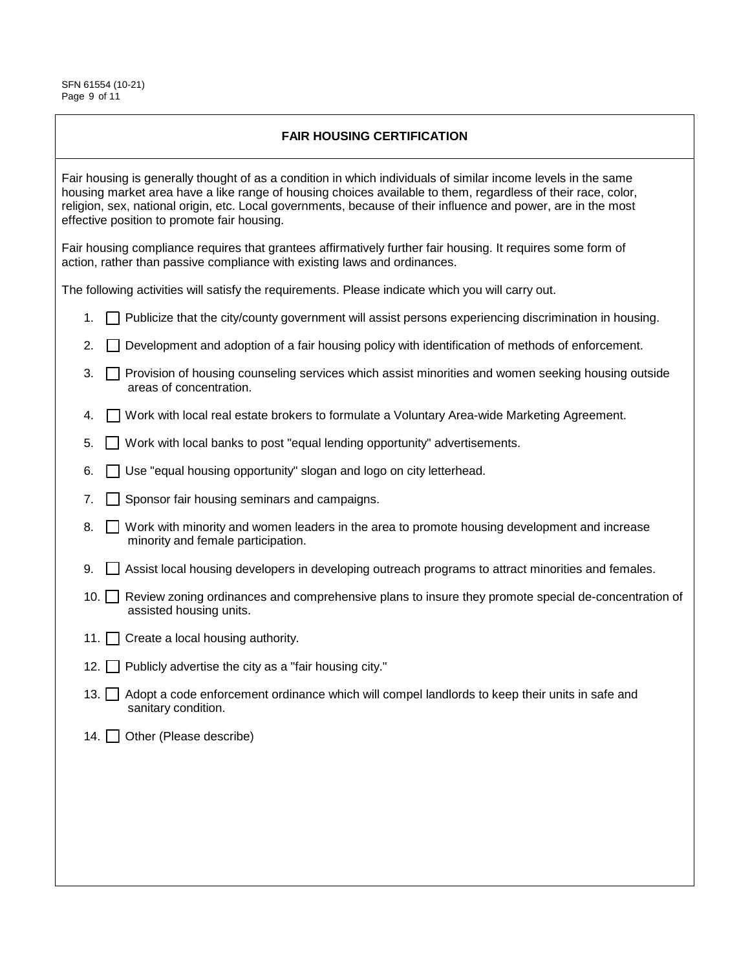SFN 61554 (10-21) Page 9 of 11

## **FAIR HOUSING CERTIFICATION**

Fair housing is generally thought of as a condition in which individuals of similar income levels in the same housing market area have a like range of housing choices available to them, regardless of their race, color, religion, sex, national origin, etc. Local governments, because of their influence and power, are in the most effective position to promote fair housing.

Fair housing compliance requires that grantees affirmatively further fair housing. It requires some form of action, rather than passive compliance with existing laws and ordinances.

The following activities will satisfy the requirements. Please indicate which you will carry out.

- 1.  $\Box$  Publicize that the city/county government will assist persons experiencing discrimination in housing.
- 2.  $\Box$  Development and adoption of a fair housing policy with identification of methods of enforcement.
- 3. **Provision of housing counseling services which assist minorities and women seeking housing outside** areas of concentration.
- 4. Work with local real estate brokers to formulate a Voluntary Area-wide Marketing Agreement.
- 5. Work with local banks to post "equal lending opportunity" advertisements.
- 6. Use "equal housing opportunity" slogan and logo on city letterhead.
- 7. **Sponsor fair housing seminars and campaigns.**
- 8. Work with minority and women leaders in the area to promote housing development and increase minority and female participation.
- $9.$   $\Box$  Assist local housing developers in developing outreach programs to attract minorities and females.
- 10. Review zoning ordinances and comprehensive plans to insure they promote special de-concentration of assisted housing units.
- 11. Create a local housing authority.
- 12. Publicly advertise the city as a "fair housing city."
- 13.  $\Box$  Adopt a code enforcement ordinance which will compel landlords to keep their units in safe and sanitary condition.
- 14. Other (Please describe)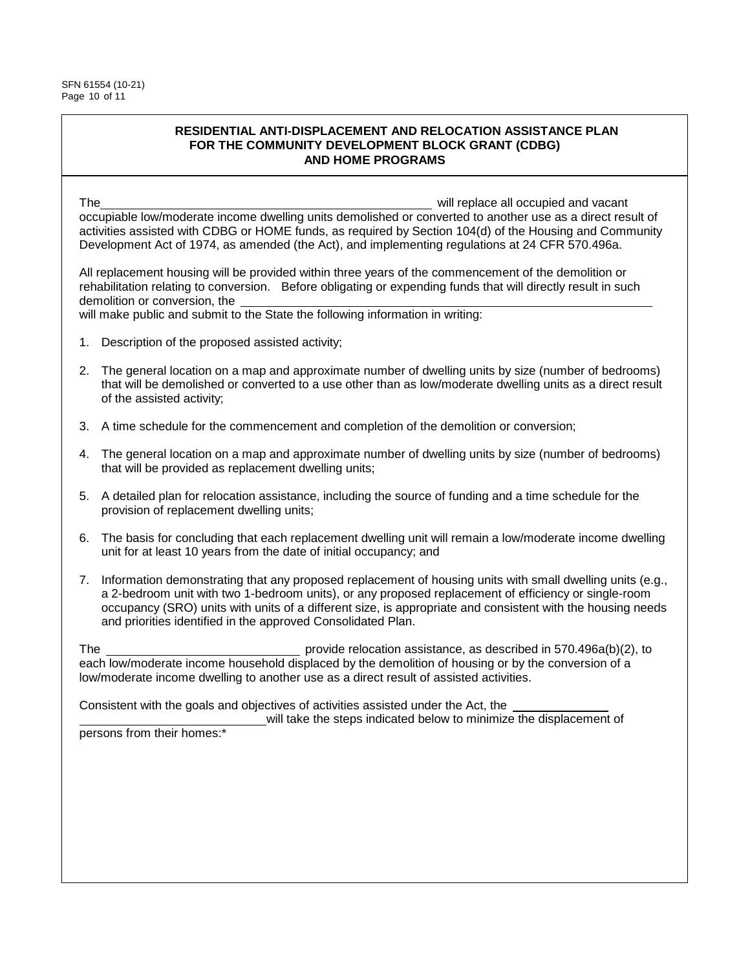### **RESIDENTIAL ANTI-DISPLACEMENT AND RELOCATION ASSISTANCE PLAN FOR THE COMMUNITY DEVELOPMENT BLOCK GRANT (CDBG) AND HOME PROGRAMS**

The will replace all occupied and vacant occupiable low/moderate income dwelling units demolished or converted to another use as a direct result of activities assisted with CDBG or HOME funds, as required by Section 104(d) of the Housing and Community Development Act of 1974, as amended (the Act), and implementing regulations at 24 CFR 570.496a.

All replacement housing will be provided within three years of the commencement of the demolition or rehabilitation relating to conversion. Before obligating or expending funds that will directly result in such demolition or conversion, the

will make public and submit to the State the following information in writing:

- 1. Description of the proposed assisted activity;
- 2. The general location on a map and approximate number of dwelling units by size (number of bedrooms) that will be demolished or converted to a use other than as low/moderate dwelling units as a direct result of the assisted activity;
- 3. A time schedule for the commencement and completion of the demolition or conversion;
- 4. The general location on a map and approximate number of dwelling units by size (number of bedrooms) that will be provided as replacement dwelling units;
- 5. A detailed plan for relocation assistance, including the source of funding and a time schedule for the provision of replacement dwelling units;
- 6. The basis for concluding that each replacement dwelling unit will remain a low/moderate income dwelling unit for at least 10 years from the date of initial occupancy; and
- 7. Information demonstrating that any proposed replacement of housing units with small dwelling units (e.g., a 2-bedroom unit with two 1-bedroom units), or any proposed replacement of efficiency or single-room occupancy (SRO) units with units of a different size, is appropriate and consistent with the housing needs and priorities identified in the approved Consolidated Plan.

The provide relocation assistance, as described in 570.496a(b)(2), to each low/moderate income household displaced by the demolition of housing or by the conversion of a low/moderate income dwelling to another use as a direct result of assisted activities.

Consistent with the goals and objectives of activities assisted under the Act, the

 will take the steps indicated below to minimize the displacement of persons from their homes:\*